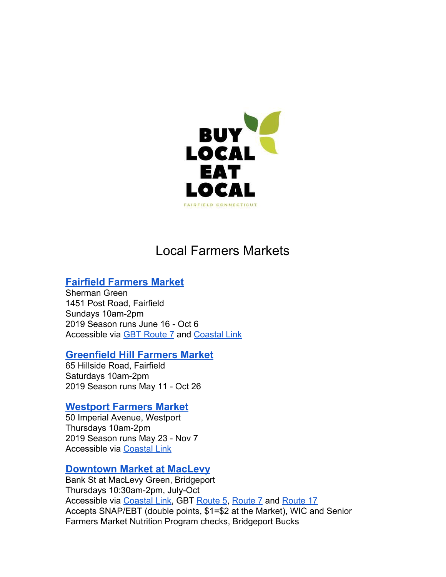

# Local Farmers Markets

# **Fairfield [Farmers](http://www.fairfieldfarmersmarket.org/) Market**

Sherman Green 1451 Post Road, Fairfield Sundays 10am-2pm 2019 Season runs June 16 - Oct 6 Accessible via [GBT Route 7](http://gogbt.com/index.php?page=route-7) and [Coastal Link](http://gogbt.com/routes-schedules-maps/coastal-link)

## **[Greenfield](https://www.facebook.com/greenfieldhillfarmersmarket/) Hill Farmers Market**

65 Hillside Road, Fairfield Saturdays 10am-2pm 2019 Season runs May 11 - Oct 26

## **[Westport](https://www.westportfarmersmarket.com/) Farmers Market**

50 Imperial Avenue, Westport Thursdays 10am-2pm 2019 Season runs May 23 - Nov 7 Accessible via [Coastal Link](http://gogbt.com/routes-schedules-maps/coastal-link)

# **[Downtown](http://bridgeportfarmersmarkets.org/#downtown-farmers-market) Market at MacLevy**

Bank St at MacLevy Green, Bridgeport Thursdays 10:30am-2pm, July-Oct Accessible via [Coastal Link,](http://gogbt.com/routes-schedules-maps/coastal-link) GBT [Route 5](http://gogbt.com/index.php?page=route-ruta-5), [Route 7](http://gogbt.com/routes-schedules-maps/route-7) and [Route 17](http://gogbt.com/routes-schedules-maps/route-17) Accepts SNAP/EBT (double points, \$1=\$2 at the Market), WIC and Senior Farmers Market Nutrition Program checks, Bridgeport Bucks